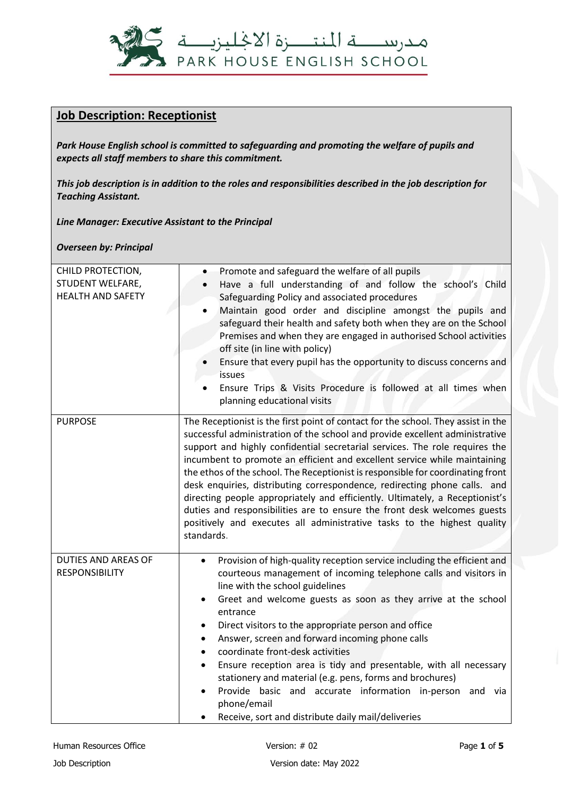

## **Job Description: Receptionist**

*Park House English school is committed to safeguarding and promoting the welfare of pupils and expects all staff members to share this commitment.*

*This job description is in addition to the roles and responsibilities described in the job description for Teaching Assistant.*

*Line Manager: Executive Assistant to the Principal*

*Overseen by: Principal*

| CHILD PROTECTION,<br>STUDENT WELFARE,<br><b>HEALTH AND SAFETY</b> | Promote and safeguard the welfare of all pupils<br>Have a full understanding of and follow the school's Child<br>Safeguarding Policy and associated procedures<br>Maintain good order and discipline amongst the pupils and<br>safeguard their health and safety both when they are on the School<br>Premises and when they are engaged in authorised School activities<br>off site (in line with policy)<br>Ensure that every pupil has the opportunity to discuss concerns and<br><i>issues</i><br>Ensure Trips & Visits Procedure is followed at all times when<br>planning educational visits                                                                                                                                                  |
|-------------------------------------------------------------------|----------------------------------------------------------------------------------------------------------------------------------------------------------------------------------------------------------------------------------------------------------------------------------------------------------------------------------------------------------------------------------------------------------------------------------------------------------------------------------------------------------------------------------------------------------------------------------------------------------------------------------------------------------------------------------------------------------------------------------------------------|
| <b>PURPOSE</b>                                                    | The Receptionist is the first point of contact for the school. They assist in the<br>successful administration of the school and provide excellent administrative<br>support and highly confidential secretarial services. The role requires the<br>incumbent to promote an efficient and excellent service while maintaining<br>the ethos of the school. The Receptionist is responsible for coordinating front<br>desk enquiries, distributing correspondence, redirecting phone calls. and<br>directing people appropriately and efficiently. Ultimately, a Receptionist's<br>duties and responsibilities are to ensure the front desk welcomes guests<br>positively and executes all administrative tasks to the highest quality<br>standards. |
| <b>DUTIES AND AREAS OF</b><br><b>RESPONSIBILITY</b>               | Provision of high-quality reception service including the efficient and<br>$\bullet$<br>courteous management of incoming telephone calls and visitors in<br>line with the school guidelines<br>Greet and welcome guests as soon as they arrive at the school<br>$\bullet$<br>entrance<br>Direct visitors to the appropriate person and office<br>Answer, screen and forward incoming phone calls<br>coordinate front-desk activities<br>$\bullet$<br>Ensure reception area is tidy and presentable, with all necessary<br>$\bullet$<br>stationery and material (e.g. pens, forms and brochures)<br>Provide basic and accurate information in-person<br>and via<br>phone/email<br>Receive, sort and distribute daily mail/deliveries                |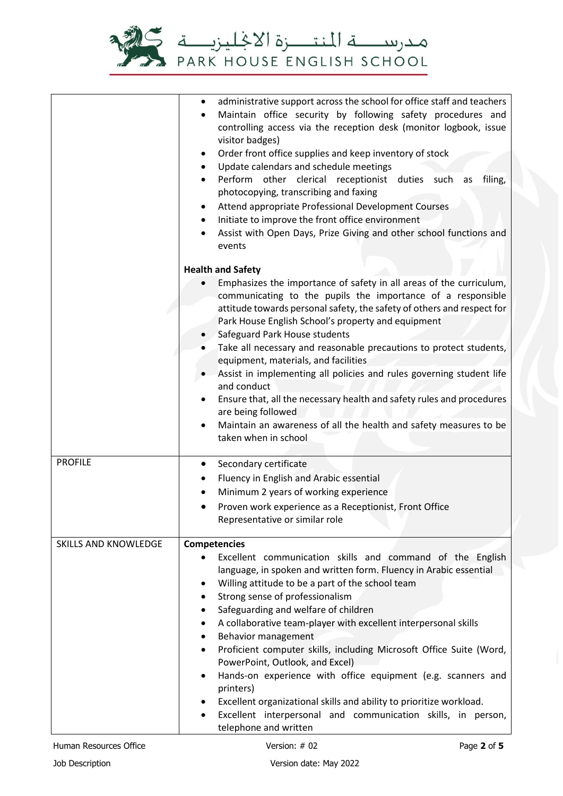

|                             | administrative support across the school for office staff and teachers<br>$\bullet$<br>Maintain office security by following safety procedures and<br>$\bullet$<br>controlling access via the reception desk (monitor logbook, issue<br>visitor badges)<br>Order front office supplies and keep inventory of stock<br>$\bullet$<br>Update calendars and schedule meetings<br>Perform other clerical receptionist duties such<br>filing,<br>as<br>photocopying, transcribing and faxing<br>Attend appropriate Professional Development Courses<br>Initiate to improve the front office environment<br>$\bullet$<br>Assist with Open Days, Prize Giving and other school functions and<br>events |  |  |
|-----------------------------|------------------------------------------------------------------------------------------------------------------------------------------------------------------------------------------------------------------------------------------------------------------------------------------------------------------------------------------------------------------------------------------------------------------------------------------------------------------------------------------------------------------------------------------------------------------------------------------------------------------------------------------------------------------------------------------------|--|--|
|                             | <b>Health and Safety</b>                                                                                                                                                                                                                                                                                                                                                                                                                                                                                                                                                                                                                                                                       |  |  |
|                             | Emphasizes the importance of safety in all areas of the curriculum,                                                                                                                                                                                                                                                                                                                                                                                                                                                                                                                                                                                                                            |  |  |
|                             | communicating to the pupils the importance of a responsible                                                                                                                                                                                                                                                                                                                                                                                                                                                                                                                                                                                                                                    |  |  |
|                             | attitude towards personal safety, the safety of others and respect for<br>Park House English School's property and equipment<br>Safeguard Park House students                                                                                                                                                                                                                                                                                                                                                                                                                                                                                                                                  |  |  |
|                             |                                                                                                                                                                                                                                                                                                                                                                                                                                                                                                                                                                                                                                                                                                |  |  |
|                             | Take all necessary and reasonable precautions to protect students,                                                                                                                                                                                                                                                                                                                                                                                                                                                                                                                                                                                                                             |  |  |
|                             | equipment, materials, and facilities                                                                                                                                                                                                                                                                                                                                                                                                                                                                                                                                                                                                                                                           |  |  |
|                             | Assist in implementing all policies and rules governing student life                                                                                                                                                                                                                                                                                                                                                                                                                                                                                                                                                                                                                           |  |  |
|                             | and conduct                                                                                                                                                                                                                                                                                                                                                                                                                                                                                                                                                                                                                                                                                    |  |  |
|                             | Ensure that, all the necessary health and safety rules and procedures<br>are being followed                                                                                                                                                                                                                                                                                                                                                                                                                                                                                                                                                                                                    |  |  |
|                             | Maintain an awareness of all the health and safety measures to be<br>$\bullet$                                                                                                                                                                                                                                                                                                                                                                                                                                                                                                                                                                                                                 |  |  |
|                             | taken when in school                                                                                                                                                                                                                                                                                                                                                                                                                                                                                                                                                                                                                                                                           |  |  |
| <b>PROFILE</b>              | Secondary certificate<br>$\bullet$                                                                                                                                                                                                                                                                                                                                                                                                                                                                                                                                                                                                                                                             |  |  |
|                             | Fluency in English and Arabic essential<br>٠                                                                                                                                                                                                                                                                                                                                                                                                                                                                                                                                                                                                                                                   |  |  |
|                             | Minimum 2 years of working experience<br>$\bullet$                                                                                                                                                                                                                                                                                                                                                                                                                                                                                                                                                                                                                                             |  |  |
|                             | Proven work experience as a Receptionist, Front Office                                                                                                                                                                                                                                                                                                                                                                                                                                                                                                                                                                                                                                         |  |  |
|                             | Representative or similar role                                                                                                                                                                                                                                                                                                                                                                                                                                                                                                                                                                                                                                                                 |  |  |
| <b>SKILLS AND KNOWLEDGE</b> | <b>Competencies</b>                                                                                                                                                                                                                                                                                                                                                                                                                                                                                                                                                                                                                                                                            |  |  |
|                             | Excellent communication skills and command of the English                                                                                                                                                                                                                                                                                                                                                                                                                                                                                                                                                                                                                                      |  |  |
|                             | language, in spoken and written form. Fluency in Arabic essential                                                                                                                                                                                                                                                                                                                                                                                                                                                                                                                                                                                                                              |  |  |
|                             | Willing attitude to be a part of the school team<br>٠                                                                                                                                                                                                                                                                                                                                                                                                                                                                                                                                                                                                                                          |  |  |
|                             | Strong sense of professionalism<br>$\bullet$<br>Safeguarding and welfare of children<br>$\bullet$                                                                                                                                                                                                                                                                                                                                                                                                                                                                                                                                                                                              |  |  |
|                             | A collaborative team-player with excellent interpersonal skills                                                                                                                                                                                                                                                                                                                                                                                                                                                                                                                                                                                                                                |  |  |
|                             | Behavior management                                                                                                                                                                                                                                                                                                                                                                                                                                                                                                                                                                                                                                                                            |  |  |
|                             | Proficient computer skills, including Microsoft Office Suite (Word,<br>$\bullet$                                                                                                                                                                                                                                                                                                                                                                                                                                                                                                                                                                                                               |  |  |
|                             | PowerPoint, Outlook, and Excel)                                                                                                                                                                                                                                                                                                                                                                                                                                                                                                                                                                                                                                                                |  |  |
|                             | Hands-on experience with office equipment (e.g. scanners and<br>$\bullet$<br>printers)                                                                                                                                                                                                                                                                                                                                                                                                                                                                                                                                                                                                         |  |  |
|                             | Excellent organizational skills and ability to prioritize workload.<br>٠                                                                                                                                                                                                                                                                                                                                                                                                                                                                                                                                                                                                                       |  |  |
|                             | Excellent interpersonal and communication skills, in person,<br>$\bullet$                                                                                                                                                                                                                                                                                                                                                                                                                                                                                                                                                                                                                      |  |  |
|                             | telephone and written                                                                                                                                                                                                                                                                                                                                                                                                                                                                                                                                                                                                                                                                          |  |  |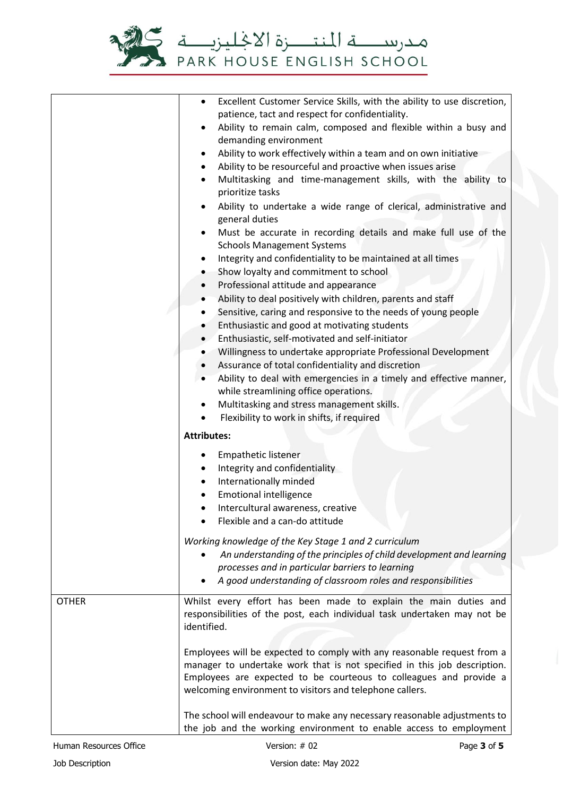

|              | Excellent Customer Service Skills, with the ability to use discretion,<br>$\bullet$<br>patience, tact and respect for confidentiality.<br>Ability to remain calm, composed and flexible within a busy and<br>$\bullet$<br>demanding environment<br>Ability to work effectively within a team and on own initiative<br>$\bullet$<br>Ability to be resourceful and proactive when issues arise<br>$\bullet$<br>Multitasking and time-management skills, with the ability to<br>$\bullet$<br>prioritize tasks<br>Ability to undertake a wide range of clerical, administrative and<br>$\bullet$<br>general duties<br>Must be accurate in recording details and make full use of the<br>$\bullet$<br><b>Schools Management Systems</b><br>Integrity and confidentiality to be maintained at all times<br>$\bullet$ |  |
|--------------|----------------------------------------------------------------------------------------------------------------------------------------------------------------------------------------------------------------------------------------------------------------------------------------------------------------------------------------------------------------------------------------------------------------------------------------------------------------------------------------------------------------------------------------------------------------------------------------------------------------------------------------------------------------------------------------------------------------------------------------------------------------------------------------------------------------|--|
|              | Show loyalty and commitment to school<br>$\bullet$                                                                                                                                                                                                                                                                                                                                                                                                                                                                                                                                                                                                                                                                                                                                                             |  |
|              | Professional attitude and appearance<br>$\bullet$                                                                                                                                                                                                                                                                                                                                                                                                                                                                                                                                                                                                                                                                                                                                                              |  |
|              | Ability to deal positively with children, parents and staff<br>$\bullet$<br>Sensitive, caring and responsive to the needs of young people<br>$\bullet$                                                                                                                                                                                                                                                                                                                                                                                                                                                                                                                                                                                                                                                         |  |
|              | Enthusiastic and good at motivating students<br>$\bullet$                                                                                                                                                                                                                                                                                                                                                                                                                                                                                                                                                                                                                                                                                                                                                      |  |
|              | Enthusiastic, self-motivated and self-initiator<br>$\bullet$                                                                                                                                                                                                                                                                                                                                                                                                                                                                                                                                                                                                                                                                                                                                                   |  |
|              | Willingness to undertake appropriate Professional Development                                                                                                                                                                                                                                                                                                                                                                                                                                                                                                                                                                                                                                                                                                                                                  |  |
|              | Assurance of total confidentiality and discretion<br>$\bullet$<br>Ability to deal with emergencies in a timely and effective manner,<br>$\bullet$                                                                                                                                                                                                                                                                                                                                                                                                                                                                                                                                                                                                                                                              |  |
|              | while streamlining office operations.                                                                                                                                                                                                                                                                                                                                                                                                                                                                                                                                                                                                                                                                                                                                                                          |  |
|              | Multitasking and stress management skills.<br>$\bullet$                                                                                                                                                                                                                                                                                                                                                                                                                                                                                                                                                                                                                                                                                                                                                        |  |
|              | Flexibility to work in shifts, if required                                                                                                                                                                                                                                                                                                                                                                                                                                                                                                                                                                                                                                                                                                                                                                     |  |
|              | <b>Attributes:</b>                                                                                                                                                                                                                                                                                                                                                                                                                                                                                                                                                                                                                                                                                                                                                                                             |  |
|              | Empathetic listener<br>$\bullet$<br>Integrity and confidentiality<br>Internationally minded<br><b>Emotional intelligence</b><br>Intercultural awareness, creative<br>$\bullet$<br>Flexible and a can-do attitude                                                                                                                                                                                                                                                                                                                                                                                                                                                                                                                                                                                               |  |
|              | Working knowledge of the Key Stage 1 and 2 curriculum<br>An understanding of the principles of child development and learning<br>processes and in particular barriers to learning<br>A good understanding of classroom roles and responsibilities                                                                                                                                                                                                                                                                                                                                                                                                                                                                                                                                                              |  |
| <b>OTHER</b> | Whilst every effort has been made to explain the main duties and<br>responsibilities of the post, each individual task undertaken may not be<br>identified.                                                                                                                                                                                                                                                                                                                                                                                                                                                                                                                                                                                                                                                    |  |
|              | Employees will be expected to comply with any reasonable request from a<br>manager to undertake work that is not specified in this job description.<br>Employees are expected to be courteous to colleagues and provide a<br>welcoming environment to visitors and telephone callers.                                                                                                                                                                                                                                                                                                                                                                                                                                                                                                                          |  |
|              | The school will endeavour to make any necessary reasonable adjustments to<br>the job and the working environment to enable access to employment                                                                                                                                                                                                                                                                                                                                                                                                                                                                                                                                                                                                                                                                |  |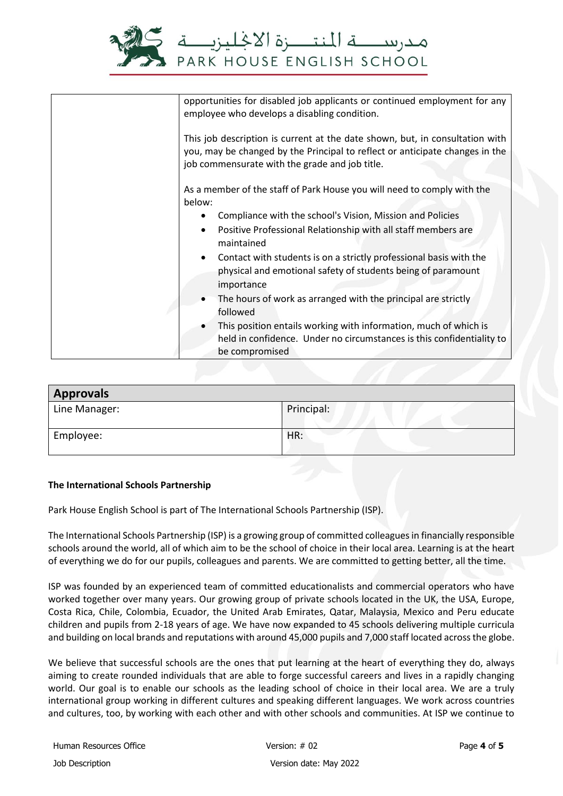

| opportunities for disabled job applicants or continued employment for any<br>employee who develops a disabling condition.                                                                                      |  |
|----------------------------------------------------------------------------------------------------------------------------------------------------------------------------------------------------------------|--|
| This job description is current at the date shown, but, in consultation with<br>you, may be changed by the Principal to reflect or anticipate changes in the<br>job commensurate with the grade and job title. |  |
| As a member of the staff of Park House you will need to comply with the<br>below:                                                                                                                              |  |
| Compliance with the school's Vision, Mission and Policies                                                                                                                                                      |  |
| Positive Professional Relationship with all staff members are<br>$\bullet$<br>maintained                                                                                                                       |  |
| Contact with students is on a strictly professional basis with the<br>$\bullet$<br>physical and emotional safety of students being of paramount<br>importance                                                  |  |
| The hours of work as arranged with the principal are strictly<br>$\bullet$<br>followed                                                                                                                         |  |
| This position entails working with information, much of which is<br>held in confidence. Under no circumstances is this confidentiality to<br>be compromised                                                    |  |

| <b>Approvals</b> |            |
|------------------|------------|
| Line Manager:    | Principal: |
| Employee:        | HR:        |

## **The International Schools Partnership**

Park House English School is part of The International Schools Partnership (ISP).

The International Schools Partnership (ISP) is a growing group of committed colleagues in financially responsible schools around the world, all of which aim to be the school of choice in their local area. Learning is at the heart of everything we do for our pupils, colleagues and parents. We are committed to getting better, all the time.

ISP was founded by an experienced team of committed educationalists and commercial operators who have worked together over many years. Our growing group of private schools located in the UK, the USA, Europe, Costa Rica, Chile, Colombia, Ecuador, the United Arab Emirates, Qatar, Malaysia, Mexico and Peru educate children and pupils from 2-18 years of age. We have now expanded to 45 schools delivering multiple curricula and building on local brands and reputations with around 45,000 pupils and 7,000 staff located across the globe.

We believe that successful schools are the ones that put learning at the heart of everything they do, always aiming to create rounded individuals that are able to forge successful careers and lives in a rapidly changing world. Our goal is to enable our schools as the leading school of choice in their local area. We are a truly international group working in different cultures and speaking different languages. We work across countries and cultures, too, by working with each other and with other schools and communities. At ISP we continue to